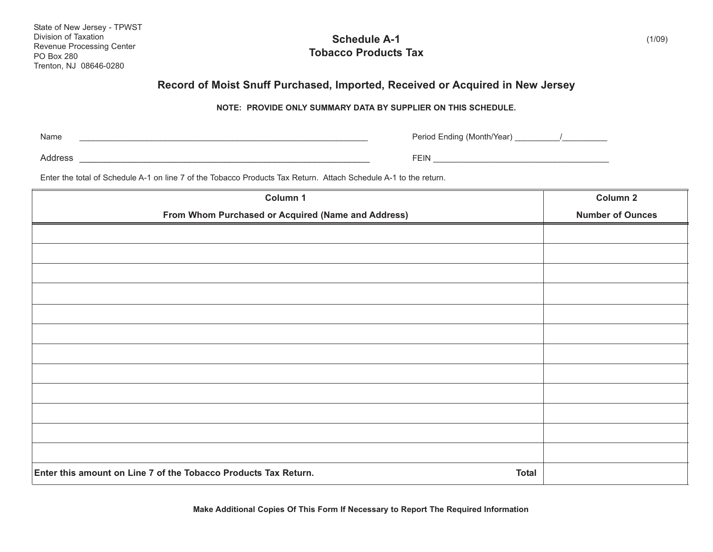| State of New Jersey - TPWST |  |  |  |
|-----------------------------|--|--|--|
| Division of Taxation        |  |  |  |
| Revenue Processing Center   |  |  |  |
| <b>PO Box 280</b>           |  |  |  |
| Trenton, NJ 08646-0280      |  |  |  |

## **Schedule A-1 Tobacco Products Tax**

## **Record of Moist Snuff Purchased, Imported, Received or Acquired in New Jersey**

## **NOTE: PROVIDE ONLY SUMMARY DATA BY SUPPLIER ON THIS SCHEDULE.**

| Name | Period Ending (Month/Year) |
|------|----------------------------|
|      |                            |

Address \_\_\_\_\_\_\_\_\_\_\_\_\_\_\_\_\_\_\_\_\_\_\_\_\_\_\_\_\_\_\_\_\_\_\_\_\_\_\_\_\_\_\_\_\_\_\_\_\_\_\_\_\_\_\_\_\_\_ FEIN \_\_\_\_\_\_\_\_\_\_\_\_\_\_\_\_\_\_\_\_\_\_\_\_\_\_\_\_\_\_\_\_\_\_\_\_\_\_\_

Enter the total of Schedule A-1 on line 7 of the Tobacco Products Tax Return. Attach Schedule A-1 to the return.

| Column 1                                                                        | Column 2                |
|---------------------------------------------------------------------------------|-------------------------|
| From Whom Purchased or Acquired (Name and Address)                              | <b>Number of Ounces</b> |
|                                                                                 |                         |
|                                                                                 |                         |
|                                                                                 |                         |
|                                                                                 |                         |
|                                                                                 |                         |
|                                                                                 |                         |
|                                                                                 |                         |
|                                                                                 |                         |
|                                                                                 |                         |
|                                                                                 |                         |
|                                                                                 |                         |
|                                                                                 |                         |
|                                                                                 |                         |
|                                                                                 |                         |
| Enter this amount on Line 7 of the Tobacco Products Tax Return.<br><b>Total</b> |                         |